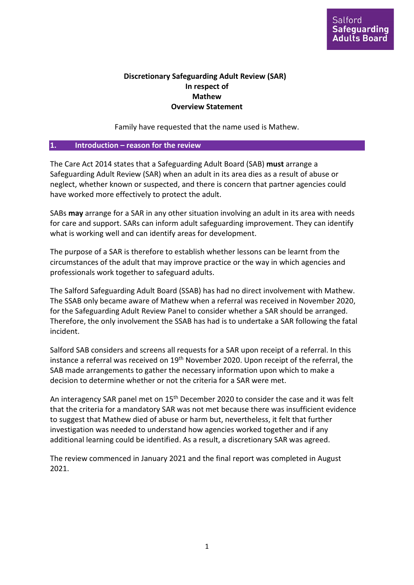## **Discretionary Safeguarding Adult Review (SAR) In respect of Mathew Overview Statement**

Family have requested that the name used is Mathew.

### **1. Introduction – reason for the review**

The Care Act 2014 states that a Safeguarding Adult Board (SAB) **must** arrange a Safeguarding Adult Review (SAR) when an adult in its area dies as a result of abuse or neglect, whether known or suspected, and there is concern that partner agencies could have worked more effectively to protect the adult.

SABs **may** arrange for a SAR in any other situation involving an adult in its area with needs for care and support. SARs can inform adult safeguarding improvement. They can identify what is working well and can identify areas for development.

The purpose of a SAR is therefore to establish whether lessons can be learnt from the circumstances of the adult that may improve practice or the way in which agencies and professionals work together to safeguard adults.

The Salford Safeguarding Adult Board (SSAB) has had no direct involvement with Mathew. The SSAB only became aware of Mathew when a referral was received in November 2020, for the Safeguarding Adult Review Panel to consider whether a SAR should be arranged. Therefore, the only involvement the SSAB has had is to undertake a SAR following the fatal incident.

Salford SAB considers and screens all requests for a SAR upon receipt of a referral. In this instance a referral was received on 19<sup>th</sup> November 2020. Upon receipt of the referral, the SAB made arrangements to gather the necessary information upon which to make a decision to determine whether or not the criteria for a SAR were met.

An interagency SAR panel met on 15<sup>th</sup> December 2020 to consider the case and it was felt that the criteria for a mandatory SAR was not met because there was insufficient evidence to suggest that Mathew died of abuse or harm but, nevertheless, it felt that further investigation was needed to understand how agencies worked together and if any additional learning could be identified. As a result, a discretionary SAR was agreed.

The review commenced in January 2021 and the final report was completed in August 2021.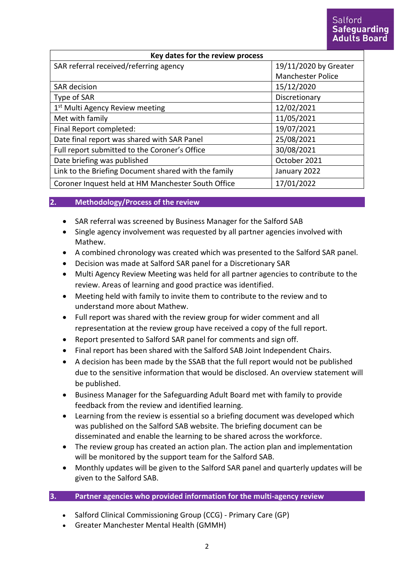| Key dates for the review process                     |                          |
|------------------------------------------------------|--------------------------|
| SAR referral received/referring agency               | 19/11/2020 by Greater    |
|                                                      | <b>Manchester Police</b> |
| <b>SAR</b> decision                                  | 15/12/2020               |
| Type of SAR                                          | Discretionary            |
| 1st Multi Agency Review meeting                      | 12/02/2021               |
| Met with family                                      | 11/05/2021               |
| Final Report completed:                              | 19/07/2021               |
| Date final report was shared with SAR Panel          | 25/08/2021               |
| Full report submitted to the Coroner's Office        | 30/08/2021               |
| Date briefing was published                          | October 2021             |
| Link to the Briefing Document shared with the family | January 2022             |
| Coroner Inquest held at HM Manchester South Office   | 17/01/2022               |

### **2. Methodology/Process of the review**

- SAR referral was screened by Business Manager for the Salford SAB
- Single agency involvement was requested by all partner agencies involved with Mathew.
- A combined chronology was created which was presented to the Salford SAR panel.
- Decision was made at Salford SAR panel for a Discretionary SAR
- Multi Agency Review Meeting was held for all partner agencies to contribute to the review. Areas of learning and good practice was identified.
- Meeting held with family to invite them to contribute to the review and to understand more about Mathew.
- Full report was shared with the review group for wider comment and all representation at the review group have received a copy of the full report.
- Report presented to Salford SAR panel for comments and sign off.
- Final report has been shared with the Salford SAB Joint Independent Chairs.
- A decision has been made by the SSAB that the full report would not be published due to the sensitive information that would be disclosed. An overview statement will be published.
- Business Manager for the Safeguarding Adult Board met with family to provide feedback from the review and identified learning.
- Learning from the review is essential so a briefing document was developed which was published on the Salford SAB website. The briefing document can be disseminated and enable the learning to be shared across the workforce.
- The review group has created an action plan. The action plan and implementation will be monitored by the support team for the Salford SAB.
- Monthly updates will be given to the Salford SAR panel and quarterly updates will be given to the Salford SAB.

### **3. Partner agencies who provided information for the multi-agency review**

- Salford Clinical Commissioning Group (CCG) Primary Care (GP)
- Greater Manchester Mental Health (GMMH)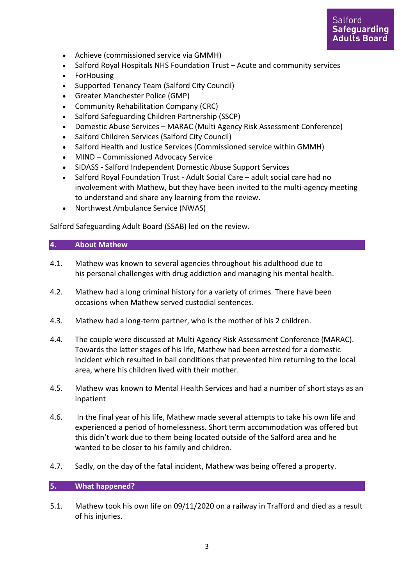

- Achieve (commissioned service via GMMH)
- Salford Royal Hospitals NHS Foundation Trust Acute and community services
- ForHousing
- Supported Tenancy Team (Salford City Council)
- Greater Manchester Police (GMP)
- Community Rehabilitation Company (CRC)
- Salford Safeguarding Children Partnership (SSCP)
- Domestic Abuse Services MARAC (Multi Agency Risk Assessment Conference)
- Salford Children Services (Salford City Council)
- Salford Health and Justice Services (Commissioned service within GMMH)
- MIND Commissioned Advocacy Service
- SIDASS Salford Independent Domestic Abuse Support Services
- Salford Royal Foundation Trust Adult Social Care adult social care had no involvement with Mathew, but they have been invited to the multi-agency meeting to understand and share any learning from the review.
- Northwest Ambulance Service (NWAS)

Salford Safeguarding Adult Board (SSAB) led on the review.

#### **4. About Mathew**

- 4.1. Mathew was known to several agencies throughout his adulthood due to his personal challenges with drug addiction and managing his mental health.
- 4.2. Mathew had a long criminal history for a variety of crimes. There have been occasions when Mathew served custodial sentences.
- 4.3. Mathew had a long-term partner, who is the mother of his 2 children.
- 4.4. The couple were discussed at Multi Agency Risk Assessment Conference (MARAC). Towards the latter stages of his life, Mathew had been arrested for a domestic incident which resulted in bail conditions that prevented him returning to the local area, where his children lived with their mother.
- 4.5. Mathew was known to Mental Health Services and had a number of short stays as an inpatient
- 4.6. In the final year of his life, Mathew made several attempts to take his own life and experienced a period of homelessness. Short term accommodation was offered but this didn't work due to them being located outside of the Salford area and he wanted to be closer to his family and children.
- 4.7. Sadly, on the day of the fatal incident, Mathew was being offered a property.

### **5. What happened?**

5.1. Mathew took his own life on 09/11/2020 on a railway in Trafford and died as a result of his injuries.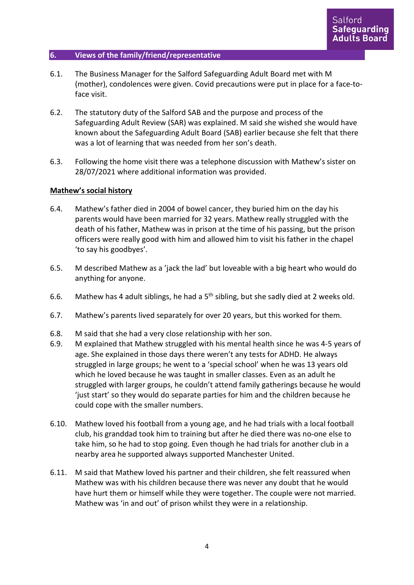### **6. Views of the family/friend/representative**

- 6.1. The Business Manager for the Salford Safeguarding Adult Board met with M (mother), condolences were given. Covid precautions were put in place for a face-toface visit.
- 6.2. The statutory duty of the Salford SAB and the purpose and process of the Safeguarding Adult Review (SAR) was explained. M said she wished she would have known about the Safeguarding Adult Board (SAB) earlier because she felt that there was a lot of learning that was needed from her son's death.
- 6.3. Following the home visit there was a telephone discussion with Mathew's sister on 28/07/2021 where additional information was provided.

#### **Mathew's social history**

- 6.4. Mathew's father died in 2004 of bowel cancer, they buried him on the day his parents would have been married for 32 years. Mathew really struggled with the death of his father, Mathew was in prison at the time of his passing, but the prison officers were really good with him and allowed him to visit his father in the chapel 'to say his goodbyes'.
- 6.5. M described Mathew as a 'jack the lad' but loveable with a big heart who would do anything for anyone.
- 6.6. Mathew has 4 adult siblings, he had a  $5<sup>th</sup>$  sibling, but she sadly died at 2 weeks old.
- 6.7. Mathew's parents lived separately for over 20 years, but this worked for them.
- 6.8. M said that she had a very close relationship with her son.
- 6.9. M explained that Mathew struggled with his mental health since he was 4-5 years of age. She explained in those days there weren't any tests for ADHD. He always struggled in large groups; he went to a 'special school' when he was 13 years old which he loved because he was taught in smaller classes. Even as an adult he struggled with larger groups, he couldn't attend family gatherings because he would 'just start' so they would do separate parties for him and the children because he could cope with the smaller numbers.
- 6.10. Mathew loved his football from a young age, and he had trials with a local football club, his granddad took him to training but after he died there was no-one else to take him, so he had to stop going. Even though he had trials for another club in a nearby area he supported always supported Manchester United.
- 6.11. M said that Mathew loved his partner and their children, she felt reassured when Mathew was with his children because there was never any doubt that he would have hurt them or himself while they were together. The couple were not married. Mathew was 'in and out' of prison whilst they were in a relationship.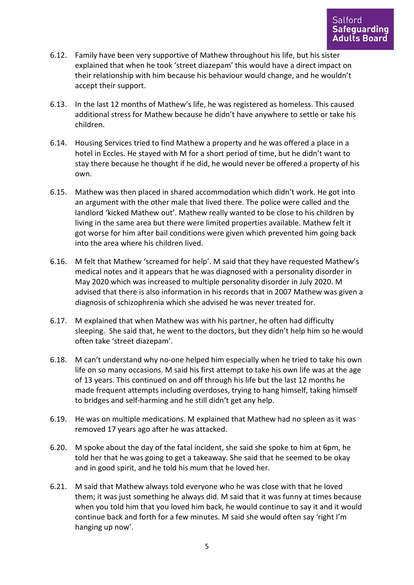- 6.12. Family have been very supportive of Mathew throughout his life, but his sister explained that when he took 'street diazepam' this would have a direct impact on their relationship with him because his behaviour would change, and he wouldn't accept their support.
- 6.13. In the last 12 months of Mathew's life, he was registered as homeless. This caused additional stress for Mathew because he didn't have anywhere to settle or take his children.
- 6.14. Housing Services tried to find Mathew a property and he was offered a place in a hotel in Eccles. He stayed with M for a short period of time, but he didn't want to stay there because he thought if he did, he would never be offered a property of his own.
- 6.15. Mathew was then placed in shared accommodation which didn't work. He got into an argument with the other male that lived there. The police were called and the landlord 'kicked Mathew out'. Mathew really wanted to be close to his children by living in the same area but there were limited properties available. Mathew felt it got worse for him after bail conditions were given which prevented him going back into the area where his children lived.
- 6.16. M felt that Mathew 'screamed for help'. M said that they have requested Mathew's medical notes and it appears that he was diagnosed with a personality disorder in May 2020 which was increased to multiple personality disorder in July 2020. M advised that there is also information in his records that in 2007 Mathew was given a diagnosis of schizophrenia which she advised he was never treated for.
- 6.17. M explained that when Mathew was with his partner, he often had difficulty sleeping. She said that, he went to the doctors, but they didn't help him so he would often take 'street diazepam'.
- 6.18. M can't understand why no-one helped him especially when he tried to take his own life on so many occasions. M said his first attempt to take his own life was at the age of 13 years. This continued on and off through his life but the last 12 months he made frequent attempts including overdoses, trying to hang himself, taking himself to bridges and self-harming and he still didn't get any help.
- 6.19. He was on multiple medications. M explained that Mathew had no spleen as it was removed 17 years ago after he was attacked.
- 6.20. M spoke about the day of the fatal incident, she said she spoke to him at 6pm, he told her that he was going to get a takeaway. She said that he seemed to be okay and in good spirit, and he told his mum that he loved her.
- 6.21. M said that Mathew always told everyone who he was close with that he loved them; it was just something he always did. M said that it was funny at times because when you told him that you loved him back, he would continue to say it and it would continue back and forth for a few minutes. M said she would often say 'right I'm hanging up now'.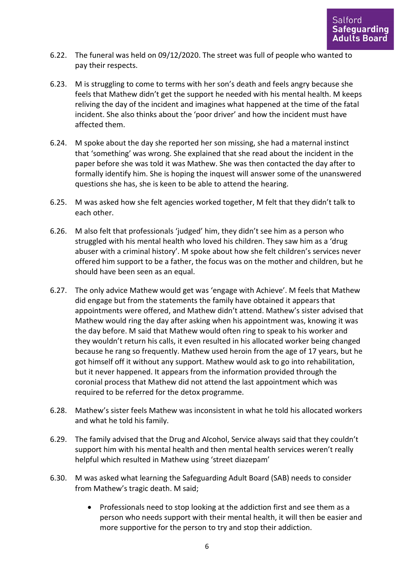- 6.22. The funeral was held on 09/12/2020. The street was full of people who wanted to pay their respects.
- 6.23. M is struggling to come to terms with her son's death and feels angry because she feels that Mathew didn't get the support he needed with his mental health. M keeps reliving the day of the incident and imagines what happened at the time of the fatal incident. She also thinks about the 'poor driver' and how the incident must have affected them.
- 6.24. M spoke about the day she reported her son missing, she had a maternal instinct that 'something' was wrong. She explained that she read about the incident in the paper before she was told it was Mathew. She was then contacted the day after to formally identify him. She is hoping the inquest will answer some of the unanswered questions she has, she is keen to be able to attend the hearing.
- 6.25. M was asked how she felt agencies worked together, M felt that they didn't talk to each other.
- 6.26. M also felt that professionals 'judged' him, they didn't see him as a person who struggled with his mental health who loved his children. They saw him as a 'drug abuser with a criminal history'. M spoke about how she felt children's services never offered him support to be a father, the focus was on the mother and children, but he should have been seen as an equal.
- 6.27. The only advice Mathew would get was 'engage with Achieve'. M feels that Mathew did engage but from the statements the family have obtained it appears that appointments were offered, and Mathew didn't attend. Mathew's sister advised that Mathew would ring the day after asking when his appointment was, knowing it was the day before. M said that Mathew would often ring to speak to his worker and they wouldn't return his calls, it even resulted in his allocated worker being changed because he rang so frequently. Mathew used heroin from the age of 17 years, but he got himself off it without any support. Mathew would ask to go into rehabilitation, but it never happened. It appears from the information provided through the coronial process that Mathew did not attend the last appointment which was required to be referred for the detox programme.
- 6.28. Mathew's sister feels Mathew was inconsistent in what he told his allocated workers and what he told his family.
- 6.29. The family advised that the Drug and Alcohol, Service always said that they couldn't support him with his mental health and then mental health services weren't really helpful which resulted in Mathew using 'street diazepam'
- 6.30. M was asked what learning the Safeguarding Adult Board (SAB) needs to consider from Mathew's tragic death. M said;
	- Professionals need to stop looking at the addiction first and see them as a person who needs support with their mental health, it will then be easier and more supportive for the person to try and stop their addiction.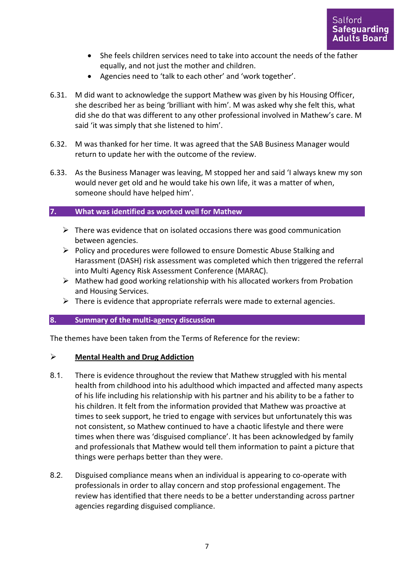- She feels children services need to take into account the needs of the father equally, and not just the mother and children.
- Agencies need to 'talk to each other' and 'work together'.
- 6.31. M did want to acknowledge the support Mathew was given by his Housing Officer, she described her as being 'brilliant with him'. M was asked why she felt this, what did she do that was different to any other professional involved in Mathew's care. M said 'it was simply that she listened to him'.
- 6.32. M was thanked for her time. It was agreed that the SAB Business Manager would return to update her with the outcome of the review.
- 6.33. As the Business Manager was leaving, M stopped her and said 'I always knew my son would never get old and he would take his own life, it was a matter of when, someone should have helped him'.

### **7. What was identified as worked well for Mathew**

- $\triangleright$  There was evidence that on isolated occasions there was good communication between agencies.
- $\triangleright$  Policy and procedures were followed to ensure Domestic Abuse Stalking and Harassment (DASH) risk assessment was completed which then triggered the referral into Multi Agency Risk Assessment Conference (MARAC).
- $\triangleright$  Mathew had good working relationship with his allocated workers from Probation and Housing Services.
- $\triangleright$  There is evidence that appropriate referrals were made to external agencies.

### **8. Summary of the multi-agency discussion**

The themes have been taken from the Terms of Reference for the review:

### **Mental Health and Drug Addiction**

- 8.1. There is evidence throughout the review that Mathew struggled with his mental health from childhood into his adulthood which impacted and affected many aspects of his life including his relationship with his partner and his ability to be a father to his children. It felt from the information provided that Mathew was proactive at times to seek support, he tried to engage with services but unfortunately this was not consistent, so Mathew continued to have a chaotic lifestyle and there were times when there was 'disguised compliance'. It has been acknowledged by family and professionals that Mathew would tell them information to paint a picture that things were perhaps better than they were.
- 8.2. Disguised compliance means when an individual is appearing to co-operate with professionals in order to allay concern and stop professional engagement. The review has identified that there needs to be a better understanding across partner agencies regarding disguised compliance.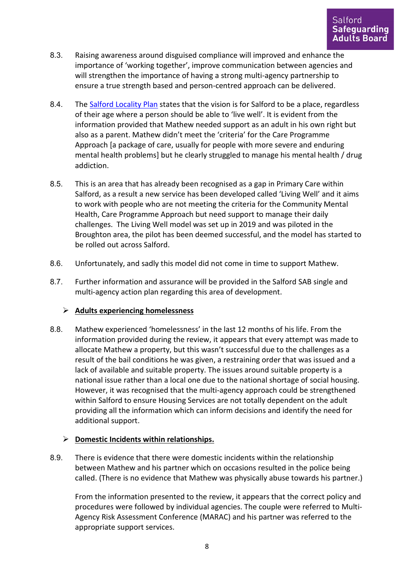- 8.3. Raising awareness around disguised compliance will improved and enhance the importance of 'working together', improve communication between agencies and will strengthen the importance of having a strong multi-agency partnership to ensure a true strength based and person-centred approach can be delivered.
- 8.4. The [Salford Locality Plan](https://www.salfordccg.nhs.uk/transformation/locality-plan) states that the vision is for Salford to be a place, regardless of their age where a person should be able to 'live well'. It is evident from the information provided that Mathew needed support as an adult in his own right but also as a parent. Mathew didn't meet the 'criteria' for the Care Programme Approach [a package of care, usually for people with more severe and enduring mental health problems] but he clearly struggled to manage his mental health / drug addiction.
- 8.5. This is an area that has already been recognised as a gap in Primary Care within Salford, as a result a new service has been developed called 'Living Well' and it aims to work with people who are not meeting the criteria for the Community Mental Health, Care Programme Approach but need support to manage their daily challenges. The Living Well model was set up in 2019 and was piloted in the Broughton area, the pilot has been deemed successful, and the model has started to be rolled out across Salford.
- 8.6. Unfortunately, and sadly this model did not come in time to support Mathew.
- 8.7. Further information and assurance will be provided in the Salford SAB single and multi-agency action plan regarding this area of development.

## **Adults experiencing homelessness**

8.8. Mathew experienced 'homelessness' in the last 12 months of his life. From the information provided during the review, it appears that every attempt was made to allocate Mathew a property, but this wasn't successful due to the challenges as a result of the bail conditions he was given, a restraining order that was issued and a lack of available and suitable property. The issues around suitable property is a national issue rather than a local one due to the national shortage of social housing. However, it was recognised that the multi-agency approach could be strengthened within Salford to ensure Housing Services are not totally dependent on the adult providing all the information which can inform decisions and identify the need for additional support.

## **Domestic Incidents within relationships.**

8.9. There is evidence that there were domestic incidents within the relationship between Mathew and his partner which on occasions resulted in the police being called. (There is no evidence that Mathew was physically abuse towards his partner.)

From the information presented to the review, it appears that the correct policy and procedures were followed by individual agencies. The couple were referred to Multi-Agency Risk Assessment Conference (MARAC) and his partner was referred to the appropriate support services.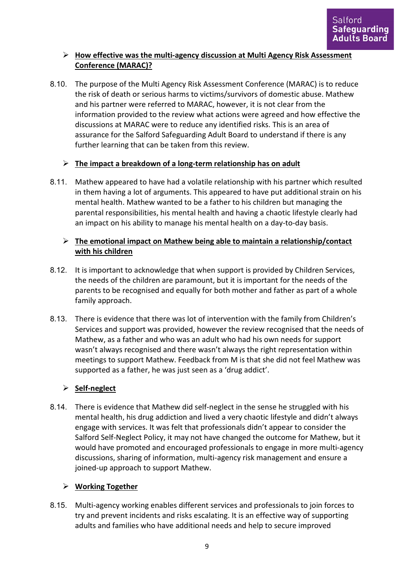# **How effective was the multi-agency discussion at Multi Agency Risk Assessment Conference (MARAC)?**

8.10. The purpose of the Multi Agency Risk Assessment Conference (MARAC) is to reduce the risk of death or serious harms to victims/survivors of domestic abuse. Mathew and his partner were referred to MARAC, however, it is not clear from the information provided to the review what actions were agreed and how effective the discussions at MARAC were to reduce any identified risks. This is an area of assurance for the Salford Safeguarding Adult Board to understand if there is any further learning that can be taken from this review.

## **The impact a breakdown of a long-term relationship has on adult**

8.11. Mathew appeared to have had a volatile relationship with his partner which resulted in them having a lot of arguments. This appeared to have put additional strain on his mental health. Mathew wanted to be a father to his children but managing the parental responsibilities, his mental health and having a chaotic lifestyle clearly had an impact on his ability to manage his mental health on a day-to-day basis.

## **The emotional impact on Mathew being able to maintain a relationship/contact with his children**

- 8.12. It is important to acknowledge that when support is provided by Children Services, the needs of the children are paramount, but it is important for the needs of the parents to be recognised and equally for both mother and father as part of a whole family approach.
- 8.13. There is evidence that there was lot of intervention with the family from Children's Services and support was provided, however the review recognised that the needs of Mathew, as a father and who was an adult who had his own needs for support wasn't always recognised and there wasn't always the right representation within meetings to support Mathew. Feedback from M is that she did not feel Mathew was supported as a father, he was just seen as a 'drug addict'.

# **Self-neglect**

8.14. There is evidence that Mathew did self-neglect in the sense he struggled with his mental health, his drug addiction and lived a very chaotic lifestyle and didn't always engage with services. It was felt that professionals didn't appear to consider the Salford Self-Neglect Policy, it may not have changed the outcome for Mathew, but it would have promoted and encouraged professionals to engage in more multi-agency discussions, sharing of information, multi-agency risk management and ensure a joined-up approach to support Mathew.

# **Working Together**

8.15. Multi-agency working enables different services and professionals to join forces to try and prevent incidents and risks escalating. It is an effective way of supporting adults and families who have additional needs and help to secure improved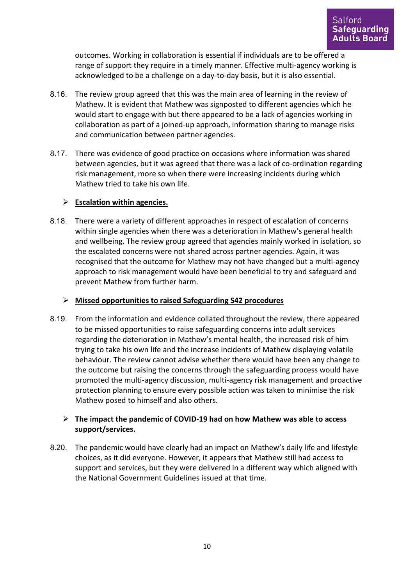outcomes. Working in collaboration is essential if individuals are to be offered a range of support they require in a timely manner. Effective multi-agency working is acknowledged to be a challenge on a day-to-day basis, but it is also essential.

- 8.16. The review group agreed that this was the main area of learning in the review of Mathew. It is evident that Mathew was signposted to different agencies which he would start to engage with but there appeared to be a lack of agencies working in collaboration as part of a joined-up approach, information sharing to manage risks and communication between partner agencies.
- 8.17. There was evidence of good practice on occasions where information was shared between agencies, but it was agreed that there was a lack of co-ordination regarding risk management, more so when there were increasing incidents during which Mathew tried to take his own life.

### **Escalation within agencies.**

8.18. There were a variety of different approaches in respect of escalation of concerns within single agencies when there was a deterioration in Mathew's general health and wellbeing. The review group agreed that agencies mainly worked in isolation, so the escalated concerns were not shared across partner agencies. Again, it was recognised that the outcome for Mathew may not have changed but a multi-agency approach to risk management would have been beneficial to try and safeguard and prevent Mathew from further harm.

## **Missed opportunities to raised Safeguarding S42 procedures**

8.19. From the information and evidence collated throughout the review, there appeared to be missed opportunities to raise safeguarding concerns into adult services regarding the deterioration in Mathew's mental health, the increased risk of him trying to take his own life and the increase incidents of Mathew displaying volatile behaviour. The review cannot advise whether there would have been any change to the outcome but raising the concerns through the safeguarding process would have promoted the multi-agency discussion, multi-agency risk management and proactive protection planning to ensure every possible action was taken to minimise the risk Mathew posed to himself and also others.

## **The impact the pandemic of COVID-19 had on how Mathew was able to access support/services.**

8.20. The pandemic would have clearly had an impact on Mathew's daily life and lifestyle choices, as it did everyone. However, it appears that Mathew still had access to support and services, but they were delivered in a different way which aligned with the National Government Guidelines issued at that time.